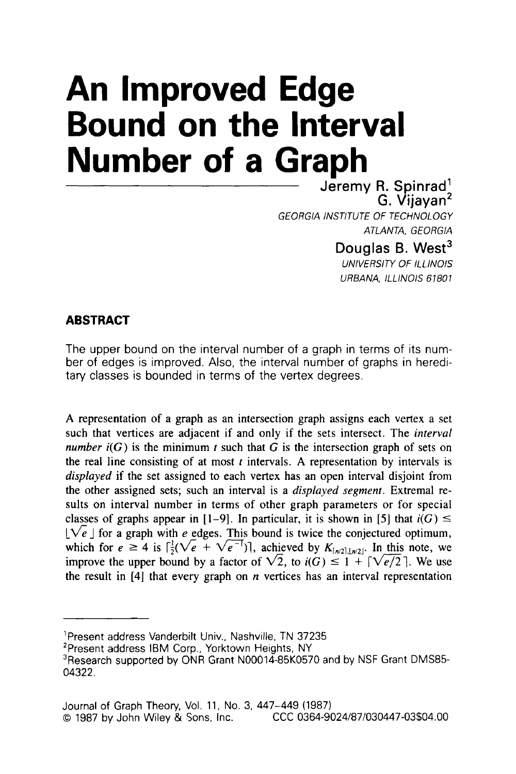## **An Improved Edge Bound on the Interval Number of a Graph**

Jeremy R. Spinrad' G. Vijayan2 Douglas B. West<sup>3</sup> *GEORGlA INSTITUTE OF TECHNOLOGY ATLANTA, GEORGlA* 

**UNIVERSITY OF ILLINOIS** 

*URBANA, lLLlNOlS 61801* 

## **ABSTRACT**

The upper bound on the interval number of a graph in terms of its number of edges is improved. Also, the interval number of graphs in hereditary classes is bounded in terms of the vertex degrees.

**A** representation of a graph as an intersection graph assigns each vertex a set such that vertices are adjacent if and only if the sets intersect. The *interval number*  $i(G)$  is the minimum *t* such that G is the intersection graph of sets on the real line consisting of at most  $t$  intervals. A representation by intervals is *displayed* **if** the set assigned to each vertex has an open interval disjoint from the other assigned sets; such an interval is a *displayed segmenr.* Extremal results on interval number in terms of other graph parameters or for special classes of graphs appear in  $[1-9]$ . In particular, it is shown in [5] that  $i(G) \leq$  $\lfloor\sqrt{e}\rfloor$  for a graph with *e* edges. This bound is twice the conjectured optimum, which for  $e \ge 4$  is  $\int_2^1 (\sqrt{e} + \sqrt{e^{-1}})$ , achieved by  $K_{\lfloor n/2 \rfloor, \lfloor n/2 \rfloor}$ . In this note, we  $[\sqrt{e}]$  for a graph with *e* edges. This bound is twice the conjectured optimum, which for  $e \ge 4$  is  $\lceil \frac{1}{2}(\sqrt{e} + \sqrt{e^{-1}}) \rceil$ , achieved by  $K_{\lceil n/2 \rceil, \lceil n/2 \rceil}$ . In this note, we improve the upper bound by a fact the result in **[4]** that every graph on *n* vertices has an interval representation

<sup>&#</sup>x27;Present address Vanderbilt Univ., Nashville. TN 37235

<sup>&#</sup>x27;Present address IBM Corp., Yorktown Heights, NY

<sup>&</sup>lt;sup>3</sup>Research supported by ONR Grant N00014-85K0570 and by NSF Grant DMS85-04322.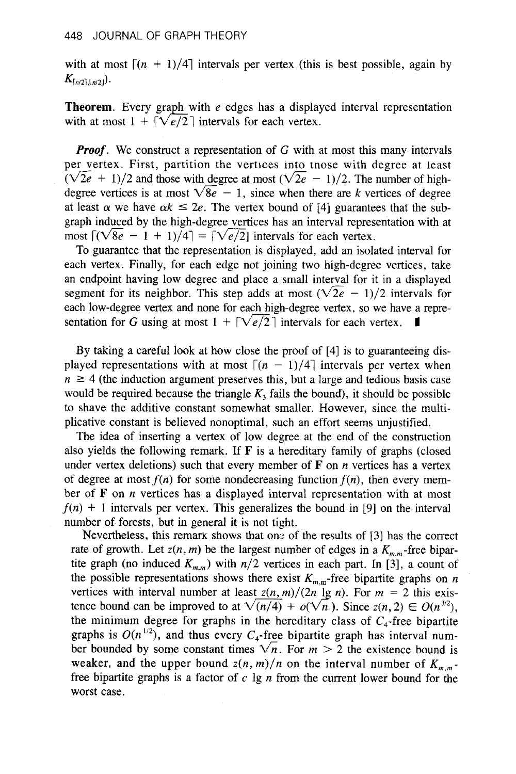with at most  $\lceil (n + 1)/4 \rceil$  intervals per vertex (this is best possible, again by  $K_{[n/2],[n/2]}$ .

**Theorem.** Every graph with *e* edges has a displayed interval representation with at most  $1 + \lceil \sqrt{e/2} \rceil$  intervals for each vertex.

*Proof.* We construct a representation of G with at most this many intervals per vertex. First, partition the vertices into tnose with degree at least *Proof.* We construct a representation of G with at most this many intervals per vertex. First, partition the vertices into those with degree at least  $(\sqrt{2e} + 1)/2$  and those with degree at most  $(\sqrt{2e} - 1)/2$ . The numbe degree vertices is at most  $\sqrt{8e} - 1$ , since when there are *k* vertices of degree at least  $\alpha$  we have  $\alpha k \le 2e$ . The vertex bound of [4] guarantees that the sub- $(\sqrt{2e} + 1)/2$  and those with degree at most  $(\sqrt{2e} - 1)/2$ . The number of high-<br>degree vertices is at most  $\sqrt{8e} - 1$ , since when there are k vertices of degree<br>at least  $\alpha$  we have  $\alpha k \le 2e$ . The vertex bound of [4] gu graph induced by the high-degree vertices has an interval representation with at at least  $\alpha$  we have  $\alpha k \le 2e$ . The vertex bound of [4] guaranted graph induced by the high-degree vertices has an interval represe most  $\lceil (\sqrt{8e} - 1 + 1)/4 \rceil = \lceil \sqrt{e/2} \rceil$  intervals for each vertex.<br>To guarantee that

To guarantee that the representation is displayed, add an isolated interval for each vertex. Finally, for each edge not joining two high-degree vertices, take an endpoint having low degree and place a small interval for it in a displayed each vertex. Finally, for each edge not joining two high-degree vertices, take<br>an endpoint having low degree and place a small interval for it in a displayed<br>segment for its neighbor. This step adds at most  $(\sqrt{2e - 1})/2$  each low-degree vertex and none for each high-degree vertex, so we have a representation for G using at most  $1 + \lceil \sqrt{e/2} \rceil$  intervals for each vertex.

By taking a careful look at how close the proof of [4] is to guaranteeing displayed representations with at most  $\lceil (n - 1)/4 \rceil$  intervals per vertex when  $n \geq 4$  (the induction argument preserves this, but a large and tedious basis case would be required because the triangle  $K_3$  fails the bound), it should be possible to shave the additive constant somewhat smaller. However, since the multiplicative constant is believed nonoptimal, such an effort seems unjustified.

The idea of inserting a vertex of low degree at the end of the construction also yields the following remark. If **F** is a hereditary family of graphs (closed under vertex deletions) such that every member of **F** on *n* vertices has a vertex of degree at most  $f(n)$  for some nondecreasing function  $f(n)$ , then every member of **F** on *n* vertices has a displayed interval representation with at most  $f(n) + 1$  intervals per vertex. This generalizes the bound in [9] on the interval number of forests, but in general it is not tight.

Nevertheless, this remark shows that one of the results of  $[3]$  has the correct rate of growth. Let  $z(n, m)$  be the largest number of edges in a  $K_{m,m}$ -free bipartite graph (no induced  $K_{m,m}$ ) with  $n/2$  vertices in each part. In [3], a count of the possible representations shows there exist  $K_{m,m}$ -free bipartite graphs on *n* vertices with interval number at least  $z(n, m)/(2n \lg n)$ . For  $m = 2$  this existhe graph (no induced  $K_{m,m}$ ) with  $n/2$  vertices in each part. In [3], a count of<br>the possible representations shows there exist  $K_{m,m}$ -free bipartite graphs on *n*<br>vertices with interval number at least  $z(n,m)/(2n \lg n)$ . the minimum degree for graphs in the hereditary class of  $C_4$ -free bipartite graphs is  $O(n^{1/2})$ , and thus every  $C_4$ -free bipartite graph has interval number bounded by some constant times  $\sqrt{n}$ . For  $m > 2$  the existence bound is weaker, and the upper bound  $z(n, m)/n$  on the interval number of  $K_{m,m}$ . free bipartite graphs is a factor of c Ig *n* from the current lower bound for the worst case.